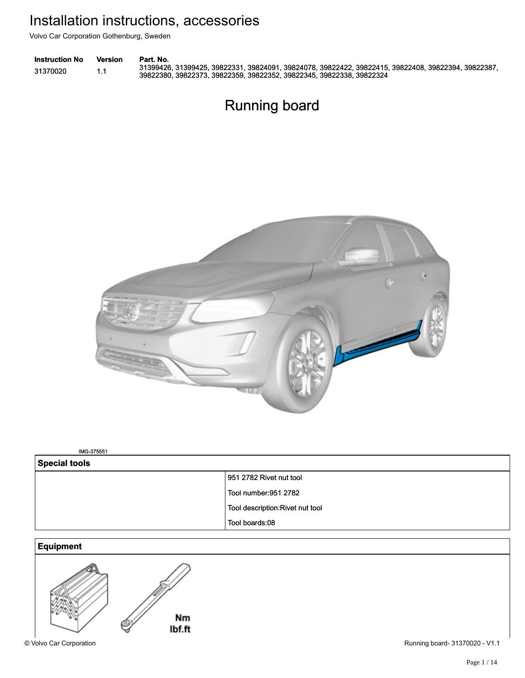Volvo Car Corporation Gothenburg, Sweden

| <b>Instruction No</b> | Version | Part. No.                                                                                           |
|-----------------------|---------|-----------------------------------------------------------------------------------------------------|
| 31370020              |         | 31399426, 31399425, 39822331, 39824091, 39824078, 39822422, 39822415, 39822408, 39822394, 39822387, |
|                       |         | 39822380, 39822373, 39822359, 39822352, 39822345, 39822338, 39822324                                |

# Running board Running board



IMG-375551 IMG-375551

| <b>Special tools</b> |                                  |  |  |
|----------------------|----------------------------------|--|--|
|                      | 951 2782 Rivet nut tool          |  |  |
|                      | Tool number: 951 2782            |  |  |
|                      | Tool description: Rivet nut tool |  |  |
|                      | Tool boards:08                   |  |  |

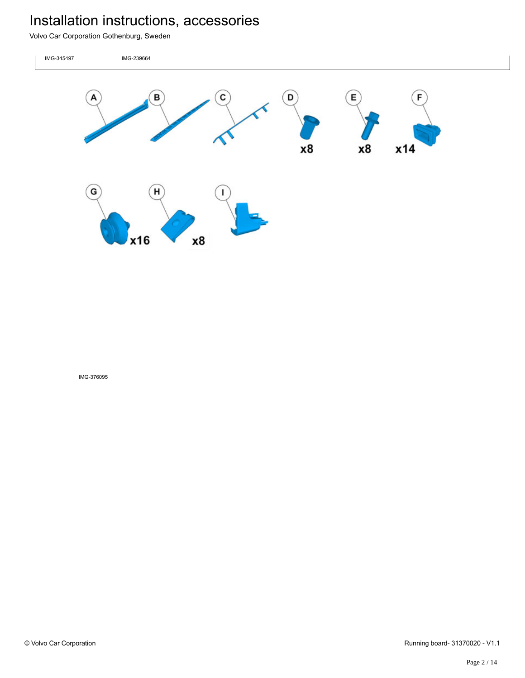Volvo Car Corporation Gothenburg, Sweden

IMG-345497 IMG-239664  $\mathbf{D}$ B с Ε F A x8 x8 x14 G Н x16 **x8**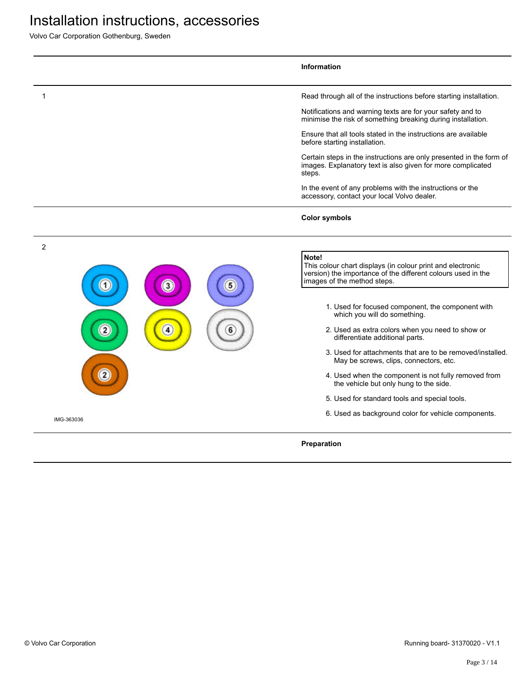|                | Information                                                                                                                                                        |
|----------------|--------------------------------------------------------------------------------------------------------------------------------------------------------------------|
| 1              | Read through all of the instructions before starting installation.                                                                                                 |
|                | Notifications and warning texts are for your safety and to<br>minimise the risk of something breaking during installation.                                         |
|                | Ensure that all tools stated in the instructions are available<br>before starting installation.                                                                    |
|                | Certain steps in the instructions are only presented in the form of<br>images. Explanatory text is also given for more complicated<br>steps.                       |
|                | In the event of any problems with the instructions or the<br>accessory, contact your local Volvo dealer.                                                           |
|                | <b>Color symbols</b>                                                                                                                                               |
| $\overline{c}$ |                                                                                                                                                                    |
| 3              | Note!<br>This colour chart displays (in colour print and electronic<br>version) the importance of the different colours used in the<br>images of the method steps. |
|                | 1. Used for focused component, the component with<br>which you will do something.                                                                                  |
|                | 2. Used as extra colors when you need to show or<br>differentiate additional parts.                                                                                |
|                | 3. Used for attachments that are to be removed/installed.<br>May be screws, clips, connectors, etc.                                                                |
|                | 4. Used when the component is not fully removed from<br>the vehicle but only hung to the side.                                                                     |
|                | 5. Used for standard tools and special tools.                                                                                                                      |
| IMG-363036     | 6. Used as background color for vehicle components.                                                                                                                |
|                | Preparation                                                                                                                                                        |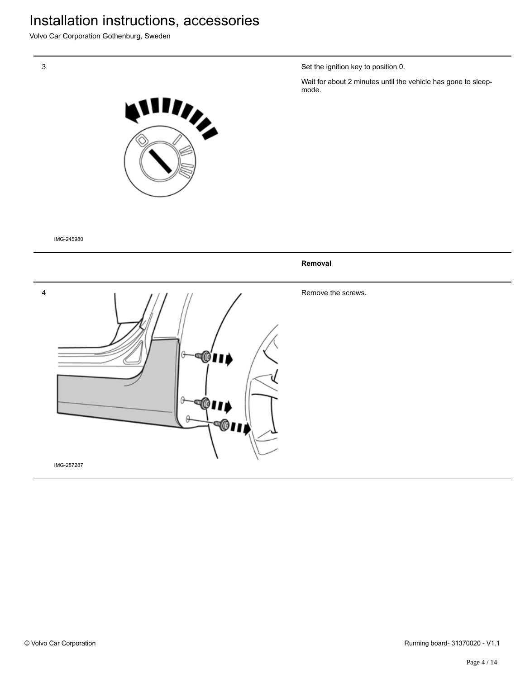Volvo Car Corporation Gothenburg, Sweden



IMG-245980

4 **40** 

Set the ignition key to position 0.

Wait for about 2 minutes until the vehicle has gone to sleepmode.



Remove the screws.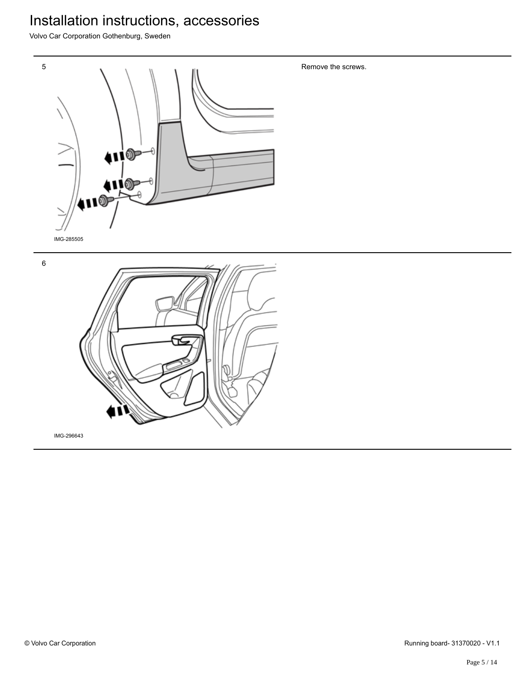Volvo Car Corporation Gothenburg, Sweden



Remove the screws.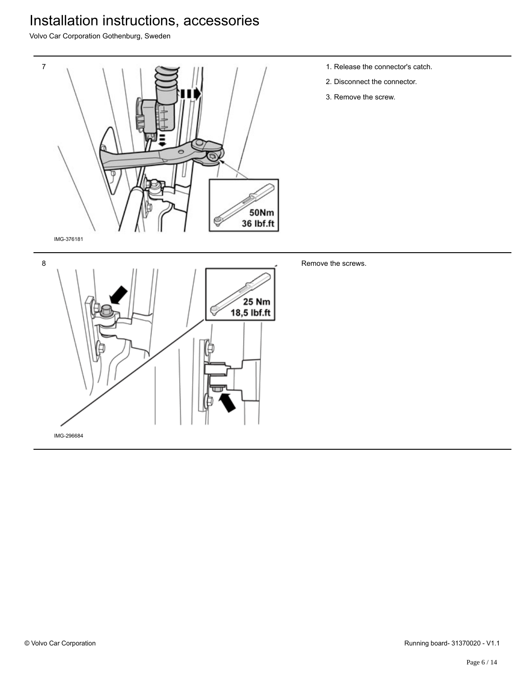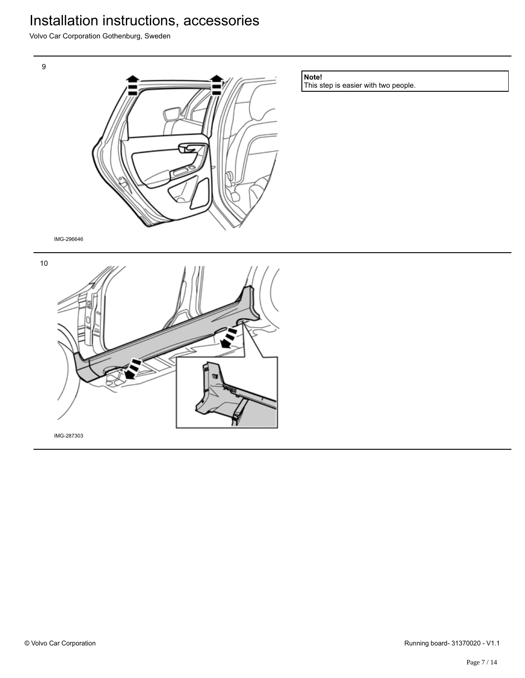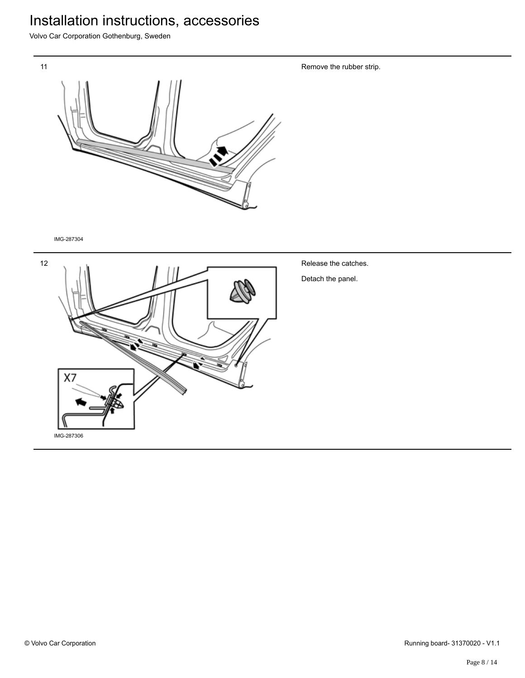Volvo Car Corporation Gothenburg, Sweden



IMG-287304



Release the catches.

Remove the rubber strip.

Detach the panel.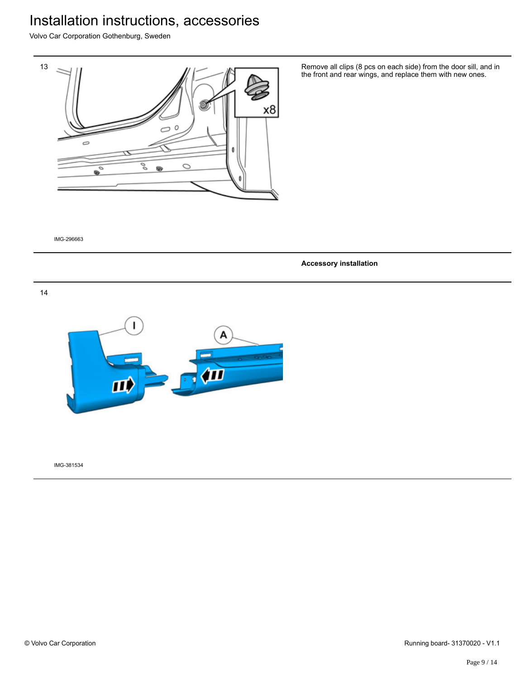Volvo Car Corporation Gothenburg, Sweden



Remove all clips (8 pcs on each side) from the door sill, and in the front and rear wings, and replace them with new ones.

IMG-296663

**Accessory installation**

14

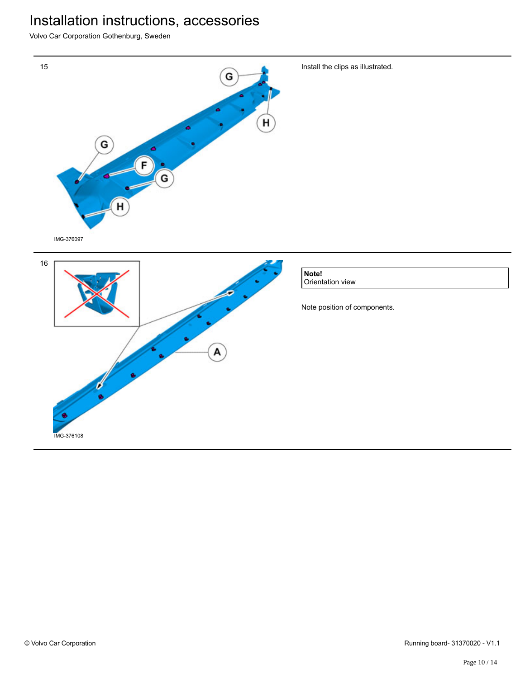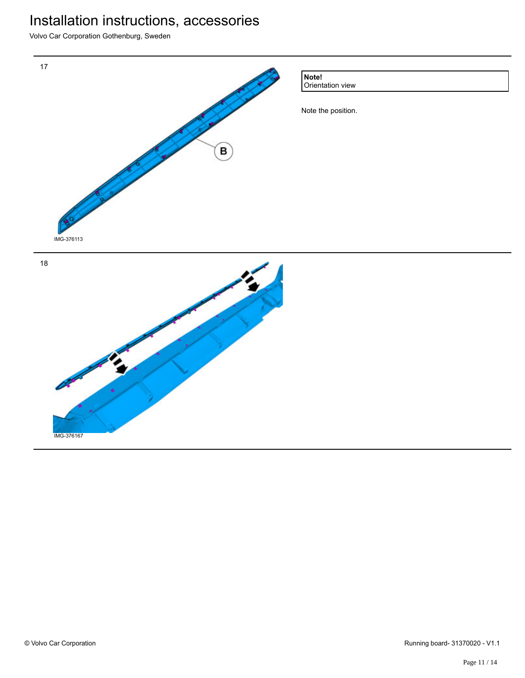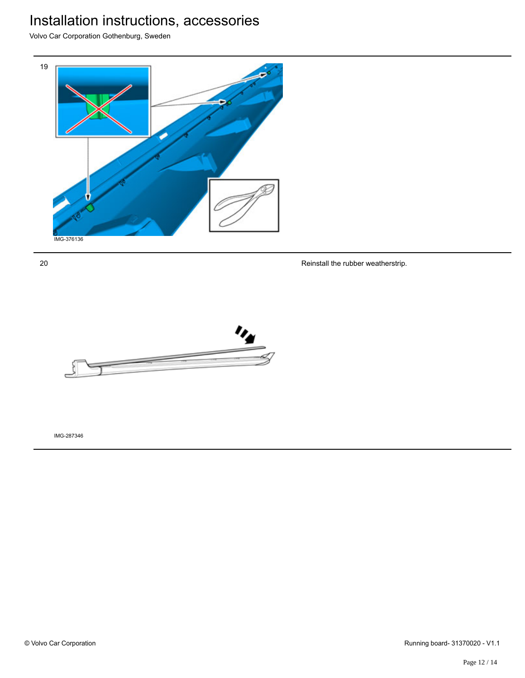Volvo Car Corporation Gothenburg, Sweden



20

Reinstall the rubber weatherstrip.

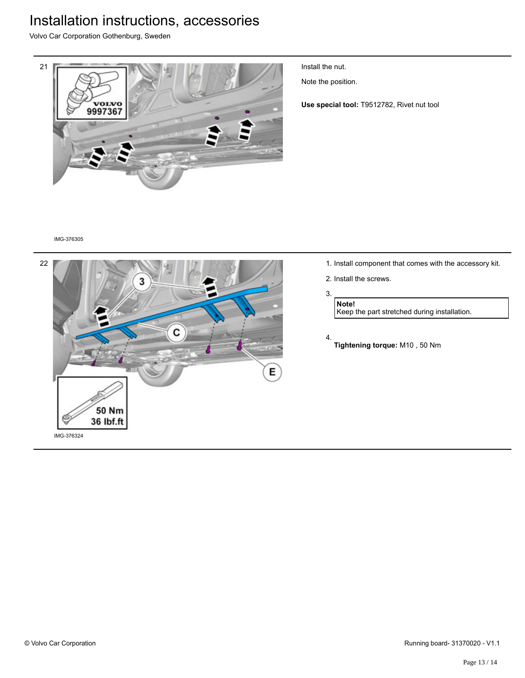Volvo Car Corporation Gothenburg, Sweden



Install the nut.

Note the position.

**Use special tool:** T9512782, Rivet nut tool

#### IMG-376305



- 1. Install component that comes with the accessory kit.
- 2. Install the screws.

#### 3.

**Note!** Keep the part stretched during installation.

- 4.
	- **Tightening torque:** M10 , 50 Nm